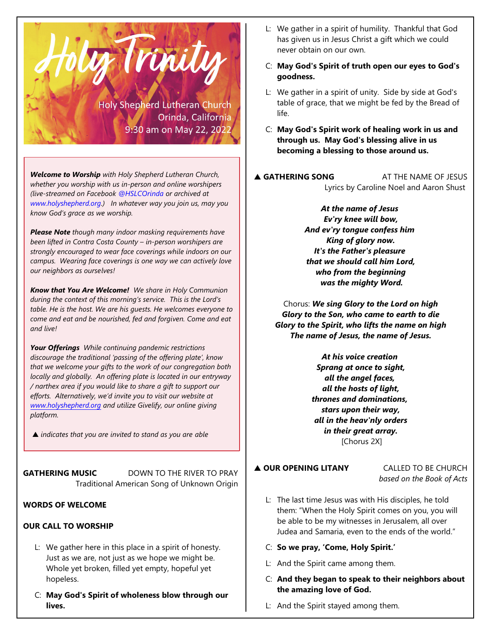

*Welcome to Worship with Holy Shepherd Lutheran Church, whether you worship with us in-person and online worshipers (live-streamed on Facebook @HSLCOrinda or archived at www.holyshepherd.org.) In whatever way you join us, may you know God's grace as we worship.* 

*Please Note though many indoor masking requirements have been lifted in Contra Costa County – in-person worshipers are strongly encouraged to wear face coverings while indoors on our campus. Wearing face coverings is one way we can actively love our neighbors as ourselves!* 

*Know that You Are Welcome! We share in Holy Communion during the context of this morning's service. This is the Lord's table. He is the host. We are his guests. He welcomes everyone to come and eat and be nourished, fed and forgiven. Come and eat and live!*

*Your Offerings While continuing pandemic restrictions discourage the traditional 'passing of the offering plate', know that we welcome your gifts to the work of our congregation both locally and globally. An offering plate is located in our entryway / narthex area if you would like to share a gift to support our efforts. Alternatively, we'd invite you to visit our website at [www.holyshepherd.org](http://www.holyshepherd.org) and utilize Givelify, our online giving platform.*

*indicates that you are invited to stand as you are able*

**GATHERING MUSIC** DOWN TO THE RIVER TO PRAY Traditional American Song of Unknown Origin

## **WORDS OF WELCOME**

# **OUR CALL TO WORSHIP**

- L: We gather here in this place in a spirit of honesty. Just as we are, not just as we hope we might be. Whole yet broken, filled yet empty, hopeful yet hopeless.
- C: **May God's Spirit of wholeness blow through our lives.**
- L: We gather in a spirit of humility. Thankful that God has given us in Jesus Christ a gift which we could never obtain on our own.
- C: **May God's Spirit of truth open our eyes to God's goodness.**
- L: We gather in a spirit of unity. Side by side at God's table of grace, that we might be fed by the Bread of life.
- C: **May God's Spirit work of healing work in us and through us. May God's blessing alive in us becoming a blessing to those around us.**
- **A GATHERING SONG** AT THE NAME OF JESUS Lyrics by Caroline Noel and Aaron Shust

*At the name of Jesus Ev'ry knee will bow, And ev'ry tongue confess him King of glory now. It's the Father's pleasure that we should call him Lord, who from the beginning was the mighty Word.*

Chorus: *We sing Glory to the Lord on high Glory to the Son, who came to earth to die Glory to the Spirit, who lifts the name on high The name of Jesus, the name of Jesus.*

> *At his voice creation Sprang at once to sight, all the angel faces, all the hosts of light, thrones and dominations, stars upon their way, all in the heav'nly orders in their great array.* [Chorus 2X]

## **A OUR OPENING LITANY** CALLED TO BE CHURCH

*based on the Book of Acts*

- L: The last time Jesus was with His disciples, he told them: "When the Holy Spirit comes on you, you will be able to be my witnesses in Jerusalem, all over Judea and Samaria, even to the ends of the world."
- C: **So we pray, 'Come, Holy Spirit.'**
- L: And the Spirit came among them.
- C: **And they began to speak to their neighbors about the amazing love of God.**
- L: And the Spirit stayed among them.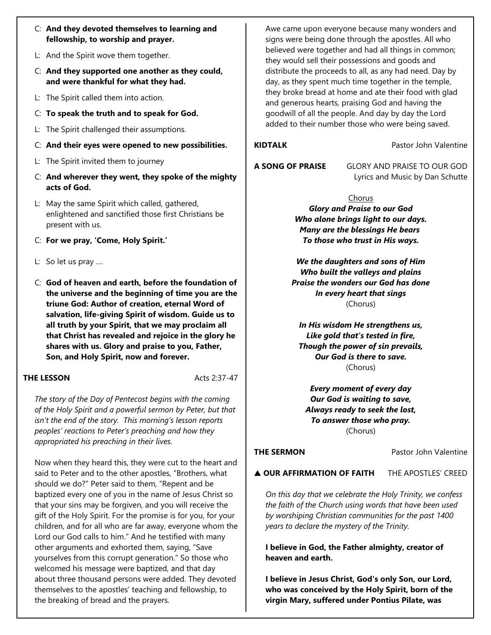- C: **And they devoted themselves to learning and fellowship, to worship and prayer.**
- L: And the Spirit wove them together.
- C: **And they supported one another as they could, and were thankful for what they had.**
- L: The Spirit called them into action.
- C: **To speak the truth and to speak for God.**
- L: The Spirit challenged their assumptions.
- C: **And their eyes were opened to new possibilities.**
- L: The Spirit invited them to journey
- C: **And wherever they went, they spoke of the mighty acts of God.**
- L: May the same Spirit which called, gathered, enlightened and sanctified those first Christians be present with us.
- C: **For we pray, 'Come, Holy Spirit.'**
- L: So let us pray ....
- C: **God of heaven and earth, before the foundation of the universe and the beginning of time you are the triune God: Author of creation, eternal Word of salvation, life-giving Spirit of wisdom. Guide us to all truth by your Spirit, that we may proclaim all that Christ has revealed and rejoice in the glory he shares with us. Glory and praise to you, Father, Son, and Holy Spirit, now and forever.**

#### **THE LESSON** Acts 2:37-47

*The story of the Day of Pentecost begins with the coming of the Holy Spirit and a powerful sermon by Peter, but that isn't the end of the story. This morning's lesson reports peoples' reactions to Peter's preaching and how they appropriated his preaching in their lives.* 

Now when they heard this, they were cut to the heart and said to Peter and to the other apostles, "Brothers, what should we do?" Peter said to them, "Repent and be baptized every one of you in the name of Jesus Christ so that your sins may be forgiven, and you will receive the gift of the Holy Spirit. For the promise is for you, for your children, and for all who are far away, everyone whom the Lord our God calls to him." And he testified with many other arguments and exhorted them, saying, "Save yourselves from this corrupt generation." So those who welcomed his message were baptized, and that day about three thousand persons were added. They devoted themselves to the apostles' teaching and fellowship, to the breaking of bread and the prayers.

Awe came upon everyone because many wonders and signs were being done through the apostles. All who believed were together and had all things in common; they would sell their possessions and goods and distribute the proceeds to all, as any had need. Day by day, as they spent much time together in the temple, they broke bread at home and ate their food with glad and generous hearts, praising God and having the goodwill of all the people. And day by day the Lord added to their number those who were being saved.

## **KIDTALK** Pastor John Valentine

**A SONG OF PRAISE** GLORY AND PRAISE TO OUR GOD Lyrics and Music by Dan Schutte

#### Chorus

*Glory and Praise to our God Who alone brings light to our days. Many are the blessings He bears To those who trust in His ways.*

*We the daughters and sons of Him Who built the valleys and plains Praise the wonders our God has done In every heart that sings* (Chorus)

*In His wisdom He strengthens us, Like gold that's tested in fire, Though the power of sin prevails, Our God is there to save.* (Chorus)

*Every moment of every day Our God is waiting to save, Always ready to seek the lost, To answer those who pray.* (Chorus)

**THE SERMON** Pastor John Valentine

 **OUR AFFIRMATION OF FAITH** THE APOSTLES' CREED

*On this day that we celebrate the Holy Trinity, we confess the faith of the Church using words that have been used by worshiping Christian communities for the past 1400 years to declare the mystery of the Trinity.*

**I believe in God, the Father almighty, creator of heaven and earth.**

**I believe in Jesus Christ, God's only Son, our Lord, who was conceived by the Holy Spirit, born of the virgin Mary, suffered under Pontius Pilate, was**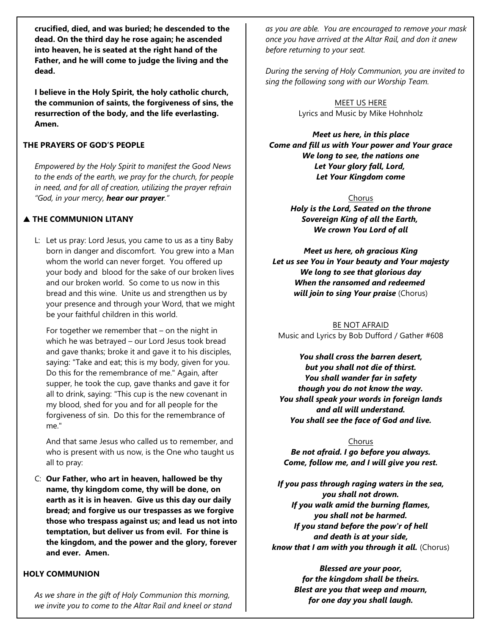**crucified, died, and was buried; he descended to the dead. On the third day he rose again; he ascended into heaven, he is seated at the right hand of the Father, and he will come to judge the living and the dead.**

**I believe in the Holy Spirit, the holy catholic church, the communion of saints, the forgiveness of sins, the resurrection of the body, and the life everlasting. Amen.**

## **THE PRAYERS OF GOD'S PEOPLE**

*Empowered by the Holy Spirit to manifest the Good News to the ends of the earth, we pray for the church, for people in need, and for all of creation, utilizing the prayer refrain "God, in your mercy, hear our prayer."*

## **A THE COMMUNION LITANY**

L: Let us pray: Lord Jesus, you came to us as a tiny Baby born in danger and discomfort. You grew into a Man whom the world can never forget. You offered up your body and blood for the sake of our broken lives and our broken world. So come to us now in this bread and this wine. Unite us and strengthen us by your presence and through your Word, that we might be your faithful children in this world.

For together we remember that – on the night in which he was betrayed – our Lord Jesus took bread and gave thanks; broke it and gave it to his disciples, saying: "Take and eat; this is my body, given for you. Do this for the remembrance of me." Again, after supper, he took the cup, gave thanks and gave it for all to drink, saying: "This cup is the new covenant in my blood, shed for you and for all people for the forgiveness of sin. Do this for the remembrance of me."

And that same Jesus who called us to remember, and who is present with us now, is the One who taught us all to pray:

C: **Our Father, who art in heaven, hallowed be thy name, thy kingdom come, thy will be done, on earth as it is in heaven. Give us this day our daily bread; and forgive us our trespasses as we forgive those who trespass against us; and lead us not into temptation, but deliver us from evil. For thine is the kingdom, and the power and the glory, forever and ever. Amen.**

### **HOLY COMMUNION**

*As we share in the gift of Holy Communion this morning, we invite you to come to the Altar Rail and kneel or stand* *as you are able. You are encouraged to remove your mask once you have arrived at the Altar Rail, and don it anew before returning to your seat.*

*During the serving of Holy Communion, you are invited to sing the following song with our Worship Team.*

> MEET US HERE Lyrics and Music by Mike Hohnholz

*Meet us here, in this place Come and fill us with Your power and Your grace We long to see, the nations one Let Your glory fall, Lord, Let Your Kingdom come*

> Chorus *Holy is the Lord, Seated on the throne Sovereign King of all the Earth, We crown You Lord of all*

*Meet us here, oh gracious King Let us see You in Your beauty and Your majesty We long to see that glorious day When the ransomed and redeemed will join to sing Your praise* (Chorus)

BE NOT AFRAID Music and Lyrics by Bob Dufford / Gather #608

*You shall cross the barren desert, but you shall not die of thirst. You shall wander far in safety though you do not know the way. You shall speak your words in foreign lands and all will understand. You shall see the face of God and live.*

#### Chorus

*Be not afraid. I go before you always. Come, follow me, and I will give you rest.*

*If you pass through raging waters in the sea, you shall not drown. If you walk amid the burning flames, you shall not be harmed. If you stand before the pow'r of hell and death is at your side, know that I am with you through it all.* (Chorus)

> *Blessed are your poor, for the kingdom shall be theirs. Blest are you that weep and mourn, for one day you shall laugh.*